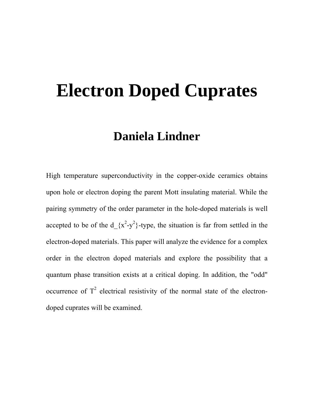# **Electron Doped Cuprates**

# **Daniela Lindner**

High temperature superconductivity in the copper-oxide ceramics obtains upon hole or electron doping the parent Mott insulating material. While the pairing symmetry of the order parameter in the hole-doped materials is well accepted to be of the  $d_{x^2-y^2}$ -type, the situation is far from settled in the electron-doped materials. This paper will analyze the evidence for a complex order in the electron doped materials and explore the possibility that a quantum phase transition exists at a critical doping. In addition, the "odd" occurrence of  $T^2$  electrical resistivity of the normal state of the electrondoped cuprates will be examined.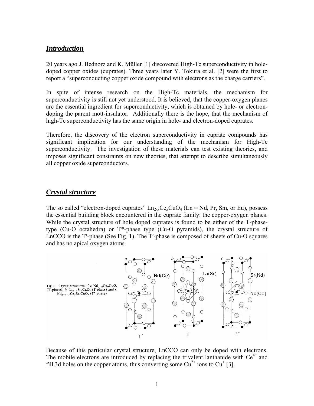#### *Introduction*

20 years ago J. Bednorz and K. Müller [1] discovered High-Tc superconductivity in holedoped copper oxides (cuprates). Three years later Y. Tokura et al. [2] were the first to report a "superconducting copper oxide compound with electrons as the charge carriers".

In spite of intense research on the High-Tc materials, the mechanism for superconductivity is still not yet understood. It is believed, that the copper-oxygen planes are the essential ingredient for superconductivity, which is obtained by hole- or electrondoping the parent mott-insulator. Additionally there is the hope, that the mechanism of high-Tc superconductivity has the same origin in hole- and electron-doped cuprates.

Therefore, the discovery of the electron superconductivity in cuprate compounds has significant implication for our understanding of the mechanism for High-Tc superconductivity. The investigation of these materials can test existing theories, and imposes significant constraints on new theories, that attempt to describe simultaneously all copper oxide superconductors.

#### *Crystal structure*

The so called "electron-doped cuprates"  $Ln_{2-x}Ce_xCuO_4$  (Ln = Nd, Pr, Sm, or Eu), possess the essential building block encountered in the cuprate family: the copper-oxygen planes. While the crystal structure of hole doped cuprates is found to be either of the T-phasetype (Cu-O octahedra) or T\*-phase type (Cu-O pyramids), the crystal structure of LnCCO is the T′-phase (See Fig. 1). The T′-phase is composed of sheets of Cu-O squares and has no apical oxygen atoms.



Because of this particular crystal structure, LnCCO can only be doped with electrons. The mobile electrons are introduced by replacing the trivalent lanthanide with  $Ce^{4+}$  and fill 3d holes on the copper atoms, thus converting some  $Cu^{2+}$  ions to  $Cu^{+}$  [3].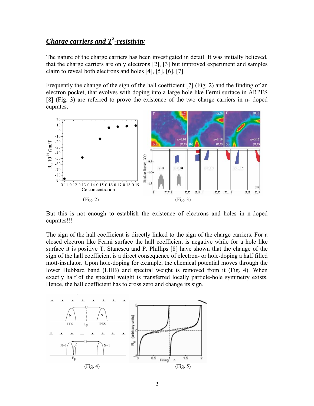# *Charge carriers and T2 -resistivity*

The nature of the charge carriers has been investigated in detail. It was initially believed, that the charge carriers are only electrons [2], [3] but improved experiment and samples claim to reveal both electrons and holes [4], [5], [6], [7].

Frequently the change of the sign of the hall coefficient [7] (Fig. 2) and the finding of an electron pocket, that evolves with doping into a large hole like Fermi surface in ARPES [8] (Fig. 3) are referred to prove the existence of the two charge carriers in n- doped cuprates.



But this is not enough to establish the existence of electrons and holes in n-doped cuprates!!!

The sign of the hall coefficient is directly linked to the sign of the charge carriers. For a closed electron like Fermi surface the hall coefficient is negative while for a hole like surface it is positive T. Stanescu and P. Phillips [8] have shown that the change of the sign of the hall coefficient is a direct consequence of electron- or hole-doping a half filled mott-insulator. Upon hole-doping for example, the chemical potential moves through the lower Hubbard band (LHB) and spectral weight is removed from it (Fig. 4). When exactly half of the spectral weight is transferred locally particle-hole symmetry exists. Hence, the hall coefficient has to cross zero and change its sign.

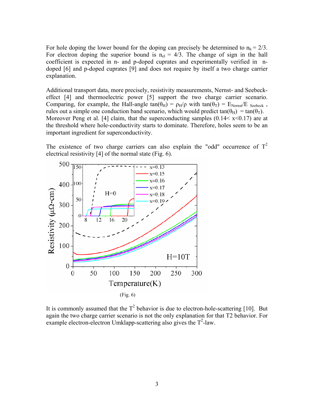For hole doping the lower bound for the doping can precisely be determined to  $n_h = 2/3$ . For electron doping the superior bound is  $n_{el} = 4/3$ . The change of sign in the hall coefficient is expected in n- and p-doped cuprates and experimentally verified in ndoped [6] and p-doped cuprates [9] and does not require by itself a two charge carrier explanation.

Additional transport data, more precisely, resistivity measurements, Nernst- and Seebeckeffect [4] and thermoelectric power [5] support the two charge carrier scenario. Comparing, for example, the Hall-angle tan( $\theta_H$ ) =  $\rho_H/\rho$  with tan( $\theta_T$ ) =  $E_{Nernst}/E$  Seebeck, rules out a simple one conduction band scenario, which would predict tan( $\theta_H$ ) = tan( $\theta_T$ ). Moreover Peng et al. [4] claim, that the superconducting samples  $(0.14 < x < 0.17)$  are at the threshold where hole-conductivity starts to dominate. Therefore, holes seem to be an important ingredient for superconductivity.

The existence of two charge carriers can also explain the "odd" occurrence of  $T^2$ electrical resistivity [4] of the normal state (Fig. 6).



It is commonly assumed that the  $T^2$  behavior is due to electron-hole-scattering [10]. But again the two charge carrier scenario is not the only explanation for that T2 behavior. For example electron-electron Umklapp-scattering also gives the  $T^2$ -law.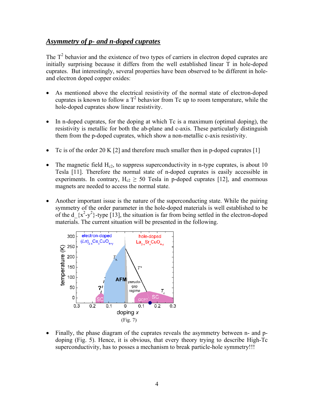## *Asymmetry of p- and n-doped cuprates*

The  $T^2$  behavior and the existence of two types of carriers in electron doped cuprates are initially surprising because it differs from the well established linear T in hole-doped cuprates. But interestingly, several properties have been observed to be different in holeand electron doped copper oxides:

- As mentioned above the electrical resistivity of the normal state of electron-doped cuprates is known to follow a  $T^2$  behavior from Tc up to room temperature, while the hole-doped cuprates show linear resistivity.
- In n-doped cuprates, for the doping at which Tc is a maximum (optimal doping), the resistivity is metallic for both the ab-plane and c-axis. These particularly distinguish them from the p-doped cuprates, which show a non-metallic c-axis resistivity.
- Tc is of the order 20 K [2] and therefore much smaller then in p-doped cuprates [1]
- The magnetic field  $H_{c2}$ , to suppress superconductivity in n-type cuprates, is about 10 Tesla [11]. Therefore the normal state of n-doped cuprates is easily accessible in experiments. In contrary,  $H_{c2} \geq 50$  Tesla in p-doped cuprates [12], and enormous magnets are needed to access the normal state.
- Another important issue is the nature of the superconducting state. While the pairing symmetry of the order parameter in the hole-doped materials is well established to be of the  $d_{x^2-y^2}$ -type [13], the situation is far from being settled in the electron-doped materials. The current situation will be presented in the following.



• Finally, the phase diagram of the cuprates reveals the asymmetry between n- and pdoping (Fig. 5). Hence, it is obvious, that every theory trying to describe High-Tc superconductivity, has to posses a mechanism to break particle-hole symmetry!!!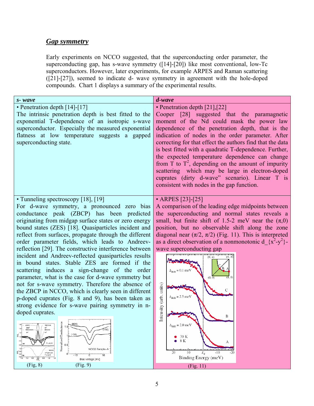### *Gap symmetry*

Early experiments on NCCO suggested, that the superconducting order parameter, the superconducting gap, has s-wave symmetry ([14]-[20]) like most conventional, low-Tc superconductors. However, later experiments, for example ARPES and Raman scattering ([21]-[27]), seemed to indicate d- wave symmetry in agreement with the hole-doped compounds. Chart 1 displays a summary of the experimental results.

| $S$ - wave                                                                                                                                                                                                                                                                                                                                                                                                                                                                                                                                                                                                                                                                                                                                                                                                                                                                                                                                                                                                                                                                                                                                                                                             | d-wave                                                                                                                                                                                                                                                                                                                                                                                                                                                                                                                                                                                                                                              |
|--------------------------------------------------------------------------------------------------------------------------------------------------------------------------------------------------------------------------------------------------------------------------------------------------------------------------------------------------------------------------------------------------------------------------------------------------------------------------------------------------------------------------------------------------------------------------------------------------------------------------------------------------------------------------------------------------------------------------------------------------------------------------------------------------------------------------------------------------------------------------------------------------------------------------------------------------------------------------------------------------------------------------------------------------------------------------------------------------------------------------------------------------------------------------------------------------------|-----------------------------------------------------------------------------------------------------------------------------------------------------------------------------------------------------------------------------------------------------------------------------------------------------------------------------------------------------------------------------------------------------------------------------------------------------------------------------------------------------------------------------------------------------------------------------------------------------------------------------------------------------|
| • Penetration depth [14]-[17]<br>The intrinsic penetration depth is best fitted to the<br>exponential T-dependence of an isotropic s-wave<br>superconductor. Especially the measured exponential<br>flatness at low temperature suggests a gapped<br>superconducting state.                                                                                                                                                                                                                                                                                                                                                                                                                                                                                                                                                                                                                                                                                                                                                                                                                                                                                                                            | • Penetration depth $[21]$ , $[22]$<br>Cooper [28] suggested that the paramagnetic<br>moment of the Nd could mask the power law<br>dependence of the penetration depth, that is the<br>indication of nodes in the order parameter. After<br>correcting for that effect the authors find that the data<br>is best fitted with a quadratic T-dependence. Further,<br>the expected temperature dependence can change<br>from T to $T^2$ , depending on the amount of impurity<br>scattering which may be large in electron-doped<br>cuprates (dirty d-wave" scenario). Linear T is<br>consistent with nodes in the gap function.                       |
| • Tunneling spectroscopy [18], [19]<br>For d-wave symmetry, a pronounced zero bias<br>conductance peak (ZBCP) has been predicted<br>originating from midgap surface states or zero energy<br>bound states (ZES) [18]. Quasiparticles incident and<br>reflect from surfaces, propagate through the different<br>order parameter fields, which leads to Andreev-<br>reflection [29]. The constructive interference between<br>incident and Andreev-reflected quasiparticles results<br>in bound states. Stable ZES are formed if the<br>scattering induces a sign-change of the order<br>parameter, what is the case for d-wave symmetry but<br>not for s-wave symmetry. Therefore the absence of<br>the ZBCP in NCCO, which is clearly seen in different<br>p-doped cuprates (Fig. 8 and 9), has been taken as<br>strong evidence for s-wave pairing symmetry in n-<br>doped cuprates.<br>LSCO<br>Normalized Conductar<br>1.5<br>36.8''<br>45°<br><b>BSCCO</b><br>YBCO-60 K<br>(100)<br>$0.5 -$<br>NCCO Sample-/<br>NCCO<br>$\sigma$ as<br>24" (001) 68<br>T = 4.2 K<br>$^{\circ}$<br>10<br>$-10$<br>$0.4 - 5$<br>1.0 1.5<br>0.5<br>$\frac{9.0}{\sqrt{N}}$<br>Bias Voltage [mV]<br>(Fig, 8)<br>(Fig. 9) | • ARPES [23]-[25]<br>A comparison of the leading edge midpoints between<br>the superconducting and normal states reveals a<br>small, but finite shift of 1.5-2 meV near the $(\pi,0)$<br>position, but no observable shift along the zone<br>diagonal near $(\pi/2, \pi/2)$ (Fig. 11). This is interpreted<br>as a direct observation of a nonmonotonic $d_{x}^{2}-y^{2}$ .<br>wave superconducting gap<br>Intensity (arb. units)<br>$\Delta_{\text{shift}} = 2.5$ meV<br>В<br>$\Delta_{\text{shift}} = 2.0$ me V<br>30 K<br>$8\ \mathrm{K}$<br>А<br>Péteréti Piranci di Résis I<br>$E_{\rm F}$<br>20<br>$-10$<br>Binding Energy (meV)<br>(Fig. 11) |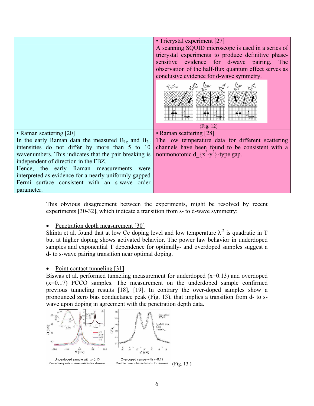|                                                                                     | • Tricrystal experiment [27]<br>A scanning SQUID microscope is used in a series of<br>tricrystal experiments to produce definitive phase-<br>sensitive evidence for d-wave pairing.<br>The<br>observation of the half-flux quantum effect serves as |
|-------------------------------------------------------------------------------------|-----------------------------------------------------------------------------------------------------------------------------------------------------------------------------------------------------------------------------------------------------|
|                                                                                     | conclusive evidence for d-wave symmetry.<br>(Fig. 12)                                                                                                                                                                                               |
| • Raman scattering [20]                                                             | • Raman scattering [28]                                                                                                                                                                                                                             |
| In the early Raman data the measured $B_{1g}$ and $B_{2g}$                          | The low temperature data for different scattering                                                                                                                                                                                                   |
| intensities do not differ by more than 5 to 10                                      | channels have been found to be consistent with a                                                                                                                                                                                                    |
| wavenumbers. This indicates that the pair breaking is                               | nonmonotonic d $\{x^2-y^2\}$ -type gap.                                                                                                                                                                                                             |
| independent of direction in the FBZ.<br>Hence, the early Raman measurements<br>were |                                                                                                                                                                                                                                                     |
| interpreted as evidence for a nearly uniformly gapped                               |                                                                                                                                                                                                                                                     |
| Fermi surface consistent with an s-wave order                                       |                                                                                                                                                                                                                                                     |
| parameter.                                                                          |                                                                                                                                                                                                                                                     |

This obvious disagreement between the experiments, might be resolved by recent experiments [30-32], which indicate a transition from s- to d-wave symmetry:

• Penetration depth measurement [30]

Skinta et al. found that at low Ce doping level and low temperature  $\lambda^2$  is quadratic in T but at higher doping shows activated behavior. The power law behavior in underdoped samples and exponential T dependence for optimally- and overdoped samples suggest a d- to s-wave pairing transition near optimal doping.

#### • Point contact tunneling [31]

Biswas et al. performed tunneling measurement for underdoped  $(x=0.13)$  and overdoped (x=0.17) PCCO samples. The measurement on the underdoped sample confirmed previous tunneling results [18], [19]. In contrary the over-doped samples show a pronounced zero bias conductance peak (Fig. 13), that implies a transition from d- to swave upon doping in agreement with the penetration depth data.



Underdoped sample with  $x=0.13$ Zero-bias peak characteristic for d-wave

Overdoped sampe with  $x=0.17$ <br>Double peak characteristic for s-wave (Fig. 13)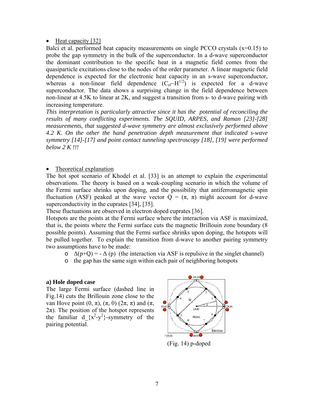#### • Heat capacity [32]

Balci et al. performed heat capacity measurements on single PCCO crystals (x=0.15) to probe the gap symmetry in the bulk of the superconductor. In a d-wave superconductor the dominant contribution to the specific heat in a magnetic field comes from the quasiparticle excitations close to the nodes of the order parameter. A linear magnetic field dependence is expected for the electronic heat capacity in an s-wave superconductor, whereas a non-linear field dependence  $(C_{el}-H^{1/2})$  is expected for a d-wave superconductor. The data shows a surprising change in the field dependence between non-linear at 4.5K to linear at 2K, and suggest a transition from s- to d-wave pairing with increasing temperature.

*This interpretation is particularly attractive since it has the potential of reconciling the results of many conflicting experiments. The SQUID, ARPES, and Raman [23]-[28] measurements, that suggested d-wave symmetry are almost exclusively performed above 4.2 K. On the other the hand penetration depth measurement that indicated s-wave symmetry [14]-[17] and point contact tunneling spectroscopy [18], [19] were performed below 2 K !!!* 

#### • Theoretical explanation

The hot spot scenario of Khodel et al. [33] is an attempt to explain the experimental observations. The theory is based on a weak-coupling scenario in which the volume of the Fermi surface shrinks upon doping, and the possibility that antiferromagnetic spin fluctuation (ASF) peaked at the wave vector  $Q = (\pi, \pi)$  might account for d-wave superconductivity in the cuprates [34], [35].

These fluctuations are observed in electron doped cuprates [36].

Hotspots are the points at the Fermi surface where the interaction via ASF is maximized, that is, the points where the Fermi surface cuts the magnetic Brillouin zone boundary (8 possible points). Assuming that the Fermi surface shrinks upon doping, the hotspots will be pulled together. To explain the transition from d-wave to another pairing symmetry two assumptions have to be made:

- $\Delta(p+Q)$  =  $\Delta(p)$  (the interaction via ASF is repulsive in the singlet channel)
- o the gap has the same sign within each pair of neighboring hotspots

#### **a) Hole doped case**

The large Fermi surface (dashed line in Fig.14) cuts the Brillouin zone close to the van Hove point  $(0, π)$ ,  $(π, 0)$   $(2π, π)$  and  $(π,$  $2\pi$ ). The position of the hotspot represents the familiar  $d_{x^2-y^2}$ -symmetry of the pairing potential.



(Fig. 14) p-doped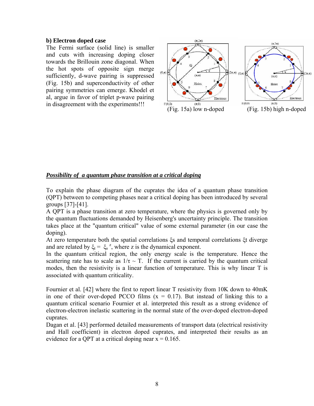#### **b) Electron doped case**

The Fermi surface (solid line) is smaller and cuts with increasing doping closer towards the Brillouin zone diagonal. When the hot spots of opposite sign merge sufficiently, d-wave pairing is suppressed (Fig. 15b) and superconductivity of other pairing symmetries can emerge. Khodel et al, argue in favor of triplet p-wave pairing in disagreement with the experiments!!!



#### *Possibility of a quantum phase transition at a critical doping*

To explain the phase diagram of the cuprates the idea of a quantum phase transition (QPT) between to competing phases near a critical doping has been introduced by several groups [37]-[41].

A QPT is a phase transition at zero temperature, where the physics is governed only by the quantum fluctuations demanded by Heisenberg's uncertainty principle. The transition takes place at the "quantum critical" value of some external parameter (in our case the doping).

At zero temperature both the spatial correlations ξs and temporal correlations ξt diverge and are related by  $\xi_t = \xi_s^2$ , where z is the dynamical exponent.

In the quantum critical region, the only energy scale is the temperature. Hence the scattering rate has to scale as  $1/\tau \sim T$ . If the current is carried by the quantum critical modes, then the resistivity is a linear function of temperature. This is why linear T is associated with quantum criticality.

Fournier et al. [42] where the first to report linear T resistivity from 10K down to 40mK in one of their over-doped PCCO films  $(x = 0.17)$ . But instead of linking this to a quantum critical scenario Fournier et al. interpreted this result as a strong evidence of electron-electron inelastic scattering in the normal state of the over-doped electron-doped cuprates.

Dagan et al. [43] performed detailed measurements of transport data (electrical resistivity and Hall coefficient) in electron doped cuprates, and interpreted their results as an evidence for a QPT at a critical doping near  $x = 0.165$ .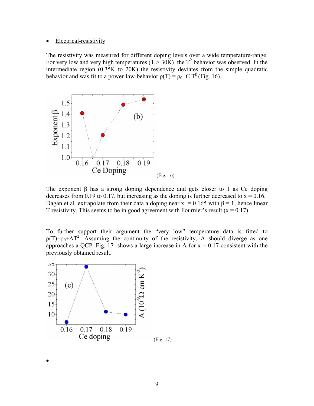#### **Electrical-resistivity**

The resistivity was measured for different doping levels over a wide temperature-range. For very low and very high temperatures ( $T > 30K$ ) the  $T^2$  behavior was observed. In the intermediate region (0.35K to 20K) the resistivity deviates from the simple quadratic behavior and was fit to a power-law-behavior  $\rho(T) = \rho_0 + C T^{\beta}$  (Fig. 16).



The exponent β has a strong doping dependence and gets closer to 1 as Ce doping decreases from 0.19 to 0.17, but increasing as the doping is further decreased to  $x = 0.16$ . Dagan et al. extrapolate from their data a doping near  $x = 0.165$  with  $\beta = 1$ , hence linear T resistivity. This seems to be in good agreement with Fournier's result  $(x = 0.17)$ .

To further support their argument the "very low" temperature data is fitted to  $p(T)=p_0+AT^2$ . Assuming the continuity of the resistivity, A should diverge as one approaches a QCP. Fig. 17 shows a large increase in A for  $x = 0.17$  consistent with the previously obtained result.



•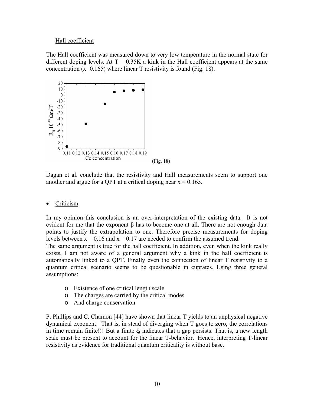#### Hall coefficient

The Hall coefficient was measured down to very low temperature in the normal state for different doping levels. At  $T = 0.35K$  a kink in the Hall coefficient appears at the same concentration  $(x=0.165)$  where linear T resistivity is found (Fig. 18).



Dagan et al. conclude that the resistivity and Hall measurements seem to support one another and argue for a QPT at a critical doping near  $x = 0.165$ .

#### • Criticism

In my opinion this conclusion is an over-interpretation of the existing data. It is not evident for me that the exponent  $\beta$  has to become one at all. There are not enough data points to justify the extrapolation to one. Therefore precise measurements for doping levels between  $x = 0.16$  and  $x = 0.17$  are needed to confirm the assumed trend.

The same argument is true for the hall coefficient. In addition, even when the kink really exists, I am not aware of a general argument why a kink in the hall coefficient is automatically linked to a QPT. Finally even the connection of linear T resistivity to a quantum critical scenario seems to be questionable in cuprates. Using three general assumptions:

- o Existence of one critical length scale
- o The charges are carried by the critical modes
- o And charge conservation

P. Phillips and C. Chamon [44] have shown that linear T yields to an unphysical negative dynamical exponent. That is, in stead of diverging when T goes to zero, the correlations in time remain finite!!! But a finite  $\xi_t$  indicates that a gap persists. That is, a new length scale must be present to account for the linear T-behavior. Hence, interpreting T-linear resistivity as evidence for traditional quantum criticality is without base.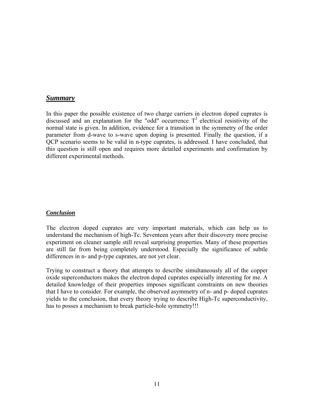#### *Summary*

In this paper the possible existence of two charge carriers in electron doped cuprates is discussed and an explanation for the "odd" occurrence  $T^2$  electrical resistivity of the normal state is given. In addition, evidence for a transition in the symmetry of the order parameter from d-wave to s-wave upon doping is presented. Finally the question, if a QCP scenario seems to be valid in n-type cuprates, is addressed. I have concluded, that this question is still open and requires more detailed experiments and confirmation by different experimental methods.

#### *Conclusion*

The electron doped cuprates are very important materials, which can help us to understand the mechanism of high-Tc. Seventeen years after their discovery more precise experiment on cleaner sample still reveal surprising properties. Many of these properties are still far from being completely understood. Especially the significance of subtle differences in n- and p-type cuprates, are not yet clear.

Trying to construct a theory that attempts to describe simultaneously all of the copper oxide superconductors makes the electron doped cuprates especially interesting for me. A detailed knowledge of their properties imposes significant constraints on new theories that I have to consider. For example, the observed asymmetry of n- and p- doped cuprates yields to the conclusion, that every theory trying to describe High-Tc superconductivity, has to posses a mechanism to break particle-hole symmetry!!!